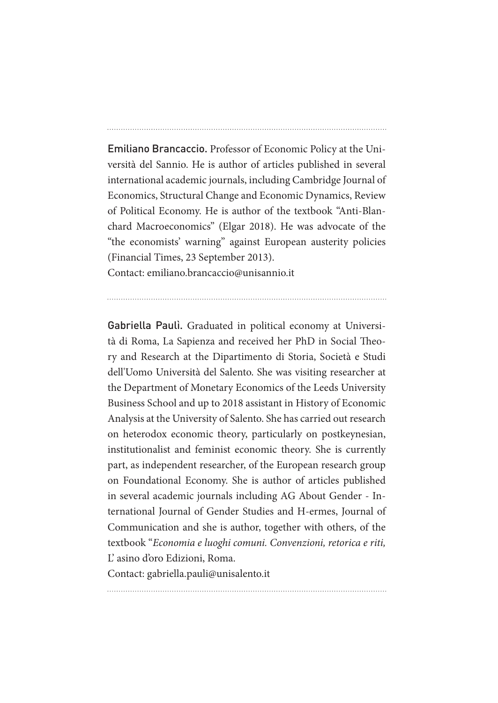Emiliano Brancaccio. Professor of Economic Policy at the Università del Sannio. He is author of articles published in several international academic journals, including Cambridge Journal of Economics, Structural Change and Economic Dynamics, Review of Political Economy. He is author of the textbook "Anti-Blanchard Macroeconomics" (Elgar 2018). He was advocate of the "the economists' warning" against European austerity policies (Financial Times, 23 September 2013).

Contact: emiliano.brancaccio@unisannio.it

Gabriella Paulì. Graduated in political economy at Università di Roma, La Sapienza and received her PhD in Social Theory and Research at the Dipartimento di Storia, Società e Studi dell'Uomo Università del Salento. She was visiting researcher at the Department of Monetary Economics of the Leeds University Business School and up to 2018 assistant in History of Economic Analysis at the University of Salento. She has carried out research on heterodox economic theory, particularly on postkeynesian, institutionalist and feminist economic theory. She is currently part, as independent researcher, of the European research group on Foundational Economy. She is author of articles published in several academic journals including AG About Gender - International Journal of Gender Studies and H-ermes, Journal of Communication and she is author, together with others, of the textbook "*Economia e luoghi comuni. Convenzioni, retorica e riti,* L' asino d'oro Edizioni, Roma.

Contact: gabriella.pauli@unisalento.it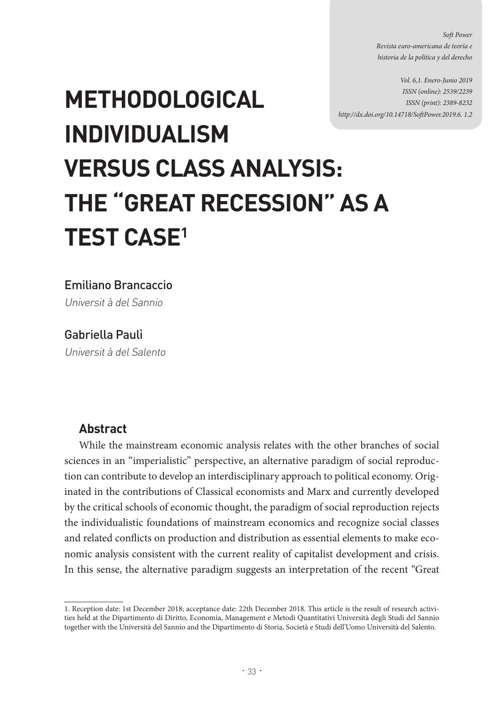*Soft Power Revista euro-americana de teoría e historia de la política y del derecho*

*Vol. 6,1. Enero-Junio 2019 ISSN (online): 2539/2239 ISSN (print): 2389-8232 http://dx.doi.org/10.14718/SoftPower.2019.6. 1.2*

# **METHODOLOGICAL INDIVIDUALISM VERSUS CLASS ANALYSIS: THE "GREAT RECESSION" AS A TEST CASE1**

Emiliano Brancaccio

Universit à del Sannio

Gabriella Paulì

Universit à del Salento

## **Abstract**

While the mainstream economic analysis relates with the other branches of social sciences in an "imperialistic" perspective, an alternative paradigm of social reproduction can contribute to develop an interdisciplinary approach to political economy. Originated in the contributions of Classical economists and Marx and currently developed by the critical schools of economic thought, the paradigm of social reproduction rejects the individualistic foundations of mainstream economics and recognize social classes and related conflicts on production and distribution as essential elements to make economic analysis consistent with the current reality of capitalist development and crisis. In this sense, the alternative paradigm suggests an interpretation of the recent "Great

<sup>1.</sup> Reception date: 1st December 2018; acceptance date: 22th December 2018. This article is the result of research activities held at the Dipartimento di Diritto, Economia, Management e Metodi Quantitativi Università degli Studi del Sannio together with the Università del Sannio and the Dipartimento di Storia, Società e Studi dell'Uomo Università del Salento.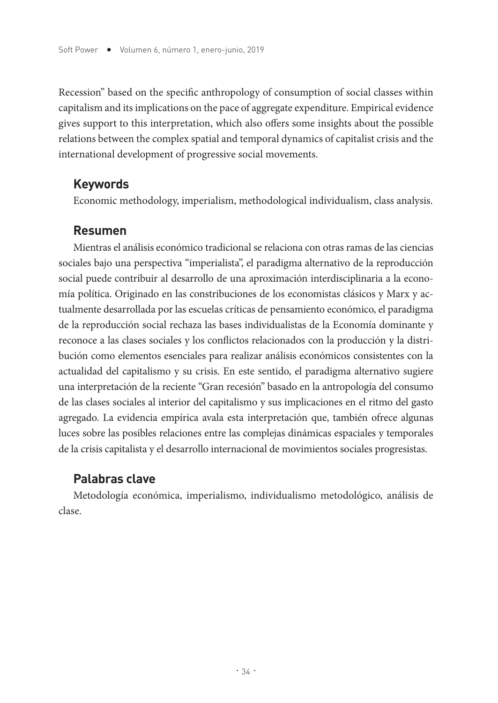Recession" based on the specific anthropology of consumption of social classes within capitalism and its implications on the pace of aggregate expenditure. Empirical evidence gives support to this interpretation, which also offers some insights about the possible relations between the complex spatial and temporal dynamics of capitalist crisis and the international development of progressive social movements.

### **Keywords**

Economic methodology, imperialism, methodological individualism, class analysis.

## **Resumen**

Mientras el análisis económico tradicional se relaciona con otras ramas de las ciencias sociales bajo una perspectiva "imperialista", el paradigma alternativo de la reproducción social puede contribuir al desarrollo de una aproximación interdisciplinaria a la economía política. Originado en las constribuciones de los economistas clásicos y Marx y actualmente desarrollada por las escuelas críticas de pensamiento económico, el paradigma de la reproducción social rechaza las bases individualistas de la Economía dominante y reconoce a las clases sociales y los conflictos relacionados con la producción y la distribución como elementos esenciales para realizar análisis económicos consistentes con la actualidad del capitalismo y su crisis. En este sentido, el paradigma alternativo sugiere una interpretación de la reciente "Gran recesión" basado en la antropología del consumo de las clases sociales al interior del capitalismo y sus implicaciones en el ritmo del gasto agregado. La evidencia empírica avala esta interpretación que, también ofrece algunas luces sobre las posibles relaciones entre las complejas dinámicas espaciales y temporales de la crisis capitalista y el desarrollo internacional de movimientos sociales progresistas.

# **Palabras clave**

Metodología económica, imperialismo, individualismo metodológico, análisis de clase.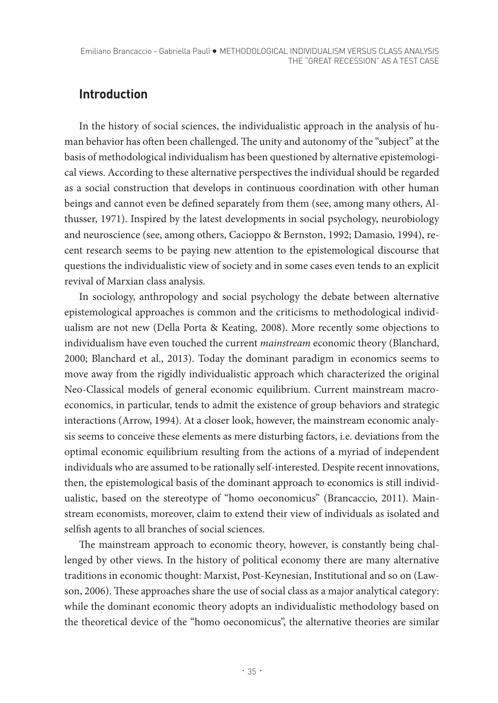# **Introduction**

In the history of social sciences, the individualistic approach in the analysis of human behavior has often been challenged. The unity and autonomy of the "subject" at the basis of methodological individualism has been questioned by alternative epistemological views. According to these alternative perspectives the individual should be regarded as a social construction that develops in continuous coordination with other human beings and cannot even be defined separately from them (see, among many others, Althusser, 1971). Inspired by the latest developments in social psychology, neurobiology and neuroscience (see, among others, Cacioppo & Bernston, 1992; Damasio, 1994), recent research seems to be paying new attention to the epistemological discourse that questions the individualistic view of society and in some cases even tends to an explicit revival of Marxian class analysis.

In sociology, anthropology and social psychology the debate between alternative epistemological approaches is common and the criticisms to methodological individualism are not new (Della Porta & Keating, 2008). More recently some objections to individualism have even touched the current *mainstream* economic theory (Blanchard, 2000; Blanchard et al., 2013). Today the dominant paradigm in economics seems to move away from the rigidly individualistic approach which characterized the original Neo-Classical models of general economic equilibrium. Current mainstream macroeconomics, in particular, tends to admit the existence of group behaviors and strategic interactions (Arrow, 1994). At a closer look, however, the mainstream economic analysis seems to conceive these elements as mere disturbing factors, i.e. deviations from the optimal economic equilibrium resulting from the actions of a myriad of independent individuals who are assumed to be rationally self-interested. Despite recent innovations, then, the epistemological basis of the dominant approach to economics is still individualistic, based on the stereotype of "homo oeconomicus" (Brancaccio, 2011). Mainstream economists, moreover, claim to extend their view of individuals as isolated and selfish agents to all branches of social sciences.

The mainstream approach to economic theory, however, is constantly being challenged by other views. In the history of political economy there are many alternative traditions in economic thought: Marxist, Post-Keynesian, Institutional and so on (Lawson, 2006). These approaches share the use of social class as a major analytical category: while the dominant economic theory adopts an individualistic methodology based on the theoretical device of the "homo oeconomicus", the alternative theories are similar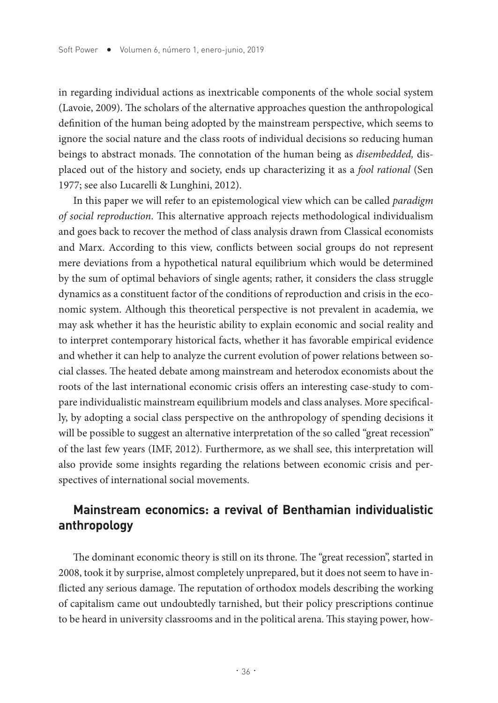in regarding individual actions as inextricable components of the whole social system (Lavoie, 2009). The scholars of the alternative approaches question the anthropological definition of the human being adopted by the mainstream perspective, which seems to ignore the social nature and the class roots of individual decisions so reducing human beings to abstract monads. The connotation of the human being as *disembedded,* displaced out of the history and society, ends up characterizing it as a *fool rational* (Sen 1977; see also Lucarelli & Lunghini, 2012).

In this paper we will refer to an epistemological view which can be called *paradigm of social reproduction*. This alternative approach rejects methodological individualism and goes back to recover the method of class analysis drawn from Classical economists and Marx. According to this view, conflicts between social groups do not represent mere deviations from a hypothetical natural equilibrium which would be determined by the sum of optimal behaviors of single agents; rather, it considers the class struggle dynamics as a constituent factor of the conditions of reproduction and crisis in the economic system. Although this theoretical perspective is not prevalent in academia, we may ask whether it has the heuristic ability to explain economic and social reality and to interpret contemporary historical facts, whether it has favorable empirical evidence and whether it can help to analyze the current evolution of power relations between social classes. The heated debate among mainstream and heterodox economists about the roots of the last international economic crisis offers an interesting case-study to compare individualistic mainstream equilibrium models and class analyses. More specifically, by adopting a social class perspective on the anthropology of spending decisions it will be possible to suggest an alternative interpretation of the so called "great recession" of the last few years (IMF, 2012). Furthermore, as we shall see, this interpretation will also provide some insights regarding the relations between economic crisis and perspectives of international social movements.

## **Mainstream economics: a revival of Benthamian individualistic anthropology**

The dominant economic theory is still on its throne. The "great recession", started in 2008, took it by surprise, almost completely unprepared, but it does not seem to have inflicted any serious damage. The reputation of orthodox models describing the working of capitalism came out undoubtedly tarnished, but their policy prescriptions continue to be heard in university classrooms and in the political arena. This staying power, how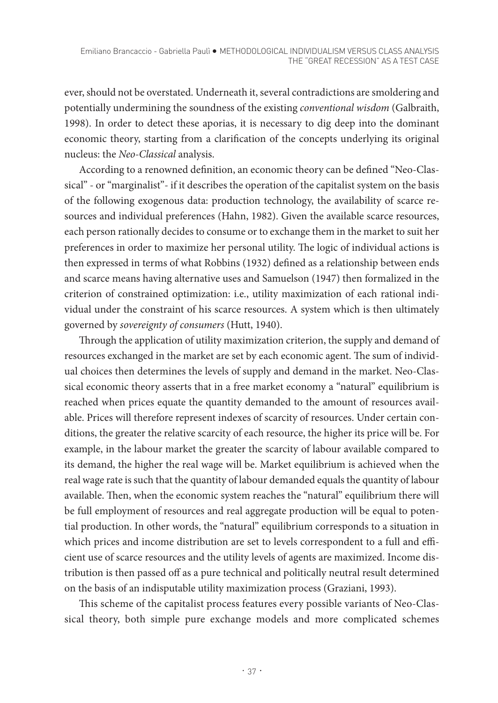ever, should not be overstated. Underneath it, several contradictions are smoldering and potentially undermining the soundness of the existing *conventional wisdom* (Galbraith, 1998). In order to detect these aporias, it is necessary to dig deep into the dominant economic theory, starting from a clarification of the concepts underlying its original nucleus: the *Neo-Classical* analysis.

According to a renowned definition, an economic theory can be defined "Neo-Classical" - or "marginalist"- if it describes the operation of the capitalist system on the basis of the following exogenous data: production technology, the availability of scarce resources and individual preferences (Hahn, 1982). Given the available scarce resources, each person rationally decides to consume or to exchange them in the market to suit her preferences in order to maximize her personal utility. The logic of individual actions is then expressed in terms of what Robbins (1932) defined as a relationship between ends and scarce means having alternative uses and Samuelson (1947) then formalized in the criterion of constrained optimization: i.e., utility maximization of each rational individual under the constraint of his scarce resources. A system which is then ultimately governed by *sovereignty of consumers* (Hutt, 1940).

Through the application of utility maximization criterion, the supply and demand of resources exchanged in the market are set by each economic agent. The sum of individual choices then determines the levels of supply and demand in the market. Neo-Classical economic theory asserts that in a free market economy a "natural" equilibrium is reached when prices equate the quantity demanded to the amount of resources available. Prices will therefore represent indexes of scarcity of resources. Under certain conditions, the greater the relative scarcity of each resource, the higher its price will be. For example, in the labour market the greater the scarcity of labour available compared to its demand, the higher the real wage will be. Market equilibrium is achieved when the real wage rate is such that the quantity of labour demanded equals the quantity of labour available. Then, when the economic system reaches the "natural" equilibrium there will be full employment of resources and real aggregate production will be equal to potential production. In other words, the "natural" equilibrium corresponds to a situation in which prices and income distribution are set to levels correspondent to a full and efficient use of scarce resources and the utility levels of agents are maximized. Income distribution is then passed off as a pure technical and politically neutral result determined on the basis of an indisputable utility maximization process (Graziani, 1993).

This scheme of the capitalist process features every possible variants of Neo-Classical theory, both simple pure exchange models and more complicated schemes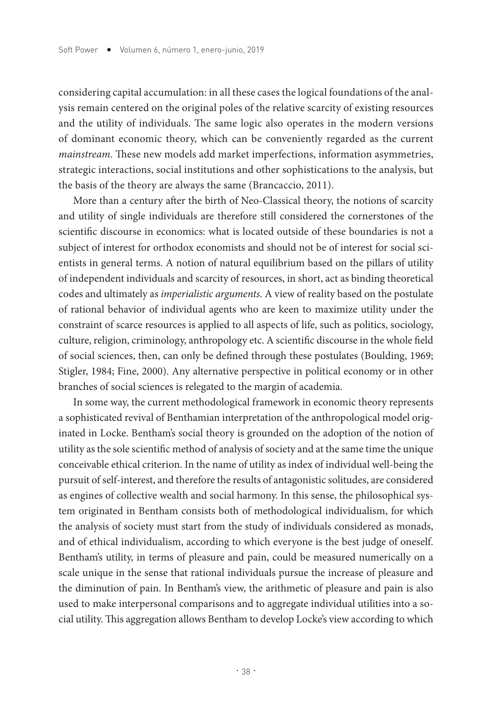considering capital accumulation: in all these cases the logical foundations of the analysis remain centered on the original poles of the relative scarcity of existing resources and the utility of individuals. The same logic also operates in the modern versions of dominant economic theory, which can be conveniently regarded as the current *mainstream*. These new models add market imperfections, information asymmetries, strategic interactions, social institutions and other sophistications to the analysis, but the basis of the theory are always the same (Brancaccio, 2011).

More than a century after the birth of Neo-Classical theory, the notions of scarcity and utility of single individuals are therefore still considered the cornerstones of the scientific discourse in economics: what is located outside of these boundaries is not a subject of interest for orthodox economists and should not be of interest for social scientists in general terms. A notion of natural equilibrium based on the pillars of utility of independent individuals and scarcity of resources, in short, act as binding theoretical codes and ultimately as *imperialistic arguments*. A view of reality based on the postulate of rational behavior of individual agents who are keen to maximize utility under the constraint of scarce resources is applied to all aspects of life, such as politics, sociology, culture, religion, criminology, anthropology etc. A scientific discourse in the whole field of social sciences, then, can only be defined through these postulates (Boulding, 1969; Stigler, 1984; Fine, 2000). Any alternative perspective in political economy or in other branches of social sciences is relegated to the margin of academia.

In some way, the current methodological framework in economic theory represents a sophisticated revival of Benthamian interpretation of the anthropological model originated in Locke. Bentham's social theory is grounded on the adoption of the notion of utility as the sole scientific method of analysis of society and at the same time the unique conceivable ethical criterion. In the name of utility as index of individual well-being the pursuit of self-interest, and therefore the results of antagonistic solitudes, are considered as engines of collective wealth and social harmony. In this sense, the philosophical system originated in Bentham consists both of methodological individualism, for which the analysis of society must start from the study of individuals considered as monads, and of ethical individualism, according to which everyone is the best judge of oneself. Bentham's utility, in terms of pleasure and pain, could be measured numerically on a scale unique in the sense that rational individuals pursue the increase of pleasure and the diminution of pain. In Bentham's view, the arithmetic of pleasure and pain is also used to make interpersonal comparisons and to aggregate individual utilities into a social utility. This aggregation allows Bentham to develop Locke's view according to which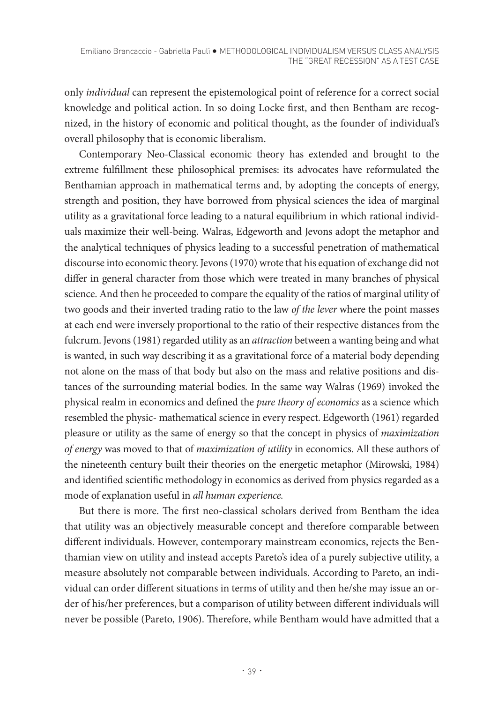only *individual* can represent the epistemological point of reference for a correct social knowledge and political action. In so doing Locke first, and then Bentham are recognized, in the history of economic and political thought, as the founder of individual's overall philosophy that is economic liberalism.

Contemporary Neo-Classical economic theory has extended and brought to the extreme fulfillment these philosophical premises: its advocates have reformulated the Benthamian approach in mathematical terms and, by adopting the concepts of energy, strength and position, they have borrowed from physical sciences the idea of marginal utility as a gravitational force leading to a natural equilibrium in which rational individuals maximize their well-being. Walras, Edgeworth and Jevons adopt the metaphor and the analytical techniques of physics leading to a successful penetration of mathematical discourse into economic theory. Jevons (1970) wrote that his equation of exchange did not differ in general character from those which were treated in many branches of physical science. And then he proceeded to compare the equality of the ratios of marginal utility of two goods and their inverted trading ratio to the law *of the lever* where the point masses at each end were inversely proportional to the ratio of their respective distances from the fulcrum. Jevons (1981) regarded utility as an *attraction* between a wanting being and what is wanted, in such way describing it as a gravitational force of a material body depending not alone on the mass of that body but also on the mass and relative positions and distances of the surrounding material bodies. In the same way Walras (1969) invoked the physical realm in economics and defined the *pure theory of economics* as a science which resembled the physic- mathematical science in every respect. Edgeworth (1961) regarded pleasure or utility as the same of energy so that the concept in physics of *maximization of energy* was moved to that of *maximization of utility* in economics. All these authors of the nineteenth century built their theories on the energetic metaphor (Mirowski, 1984) and identified scientific methodology in economics as derived from physics regarded as a mode of explanation useful in *all human experience.*

But there is more. The first neo-classical scholars derived from Bentham the idea that utility was an objectively measurable concept and therefore comparable between different individuals. However, contemporary mainstream economics, rejects the Benthamian view on utility and instead accepts Pareto's idea of a purely subjective utility, a measure absolutely not comparable between individuals. According to Pareto, an individual can order different situations in terms of utility and then he/she may issue an order of his/her preferences, but a comparison of utility between different individuals will never be possible (Pareto, 1906). Therefore, while Bentham would have admitted that a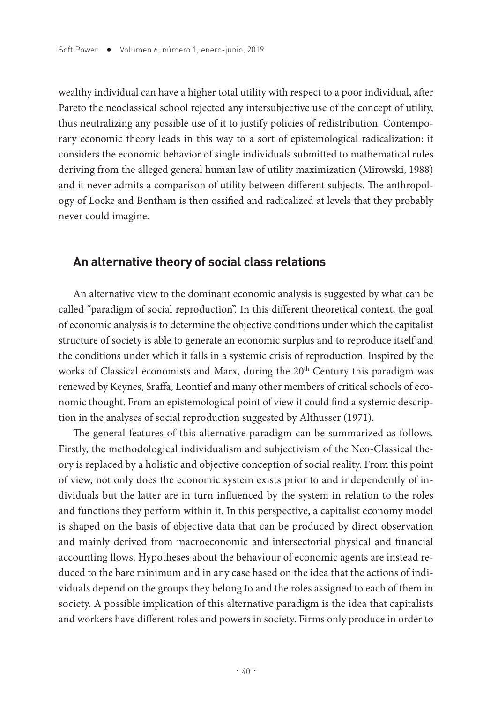wealthy individual can have a higher total utility with respect to a poor individual, after Pareto the neoclassical school rejected any intersubjective use of the concept of utility, thus neutralizing any possible use of it to justify policies of redistribution. Contemporary economic theory leads in this way to a sort of epistemological radicalization: it considers the economic behavior of single individuals submitted to mathematical rules deriving from the alleged general human law of utility maximization (Mirowski, 1988) and it never admits a comparison of utility between different subjects. The anthropology of Locke and Bentham is then ossified and radicalized at levels that they probably never could imagine.

#### **An alternative theory of social class relations**

An alternative view to the dominant economic analysis is suggested by what can be called-"paradigm of social reproduction". In this different theoretical context, the goal of economic analysis is to determine the objective conditions under which the capitalist structure of society is able to generate an economic surplus and to reproduce itself and the conditions under which it falls in a systemic crisis of reproduction. Inspired by the works of Classical economists and Marx, during the 20<sup>th</sup> Century this paradigm was renewed by Keynes, Sraffa, Leontief and many other members of critical schools of economic thought. From an epistemological point of view it could find a systemic description in the analyses of social reproduction suggested by Althusser (1971).

The general features of this alternative paradigm can be summarized as follows. Firstly, the methodological individualism and subjectivism of the Neo-Classical theory is replaced by a holistic and objective conception of social reality. From this point of view, not only does the economic system exists prior to and independently of individuals but the latter are in turn influenced by the system in relation to the roles and functions they perform within it. In this perspective, a capitalist economy model is shaped on the basis of objective data that can be produced by direct observation and mainly derived from macroeconomic and intersectorial physical and financial accounting flows. Hypotheses about the behaviour of economic agents are instead reduced to the bare minimum and in any case based on the idea that the actions of individuals depend on the groups they belong to and the roles assigned to each of them in society. A possible implication of this alternative paradigm is the idea that capitalists and workers have different roles and powers in society. Firms only produce in order to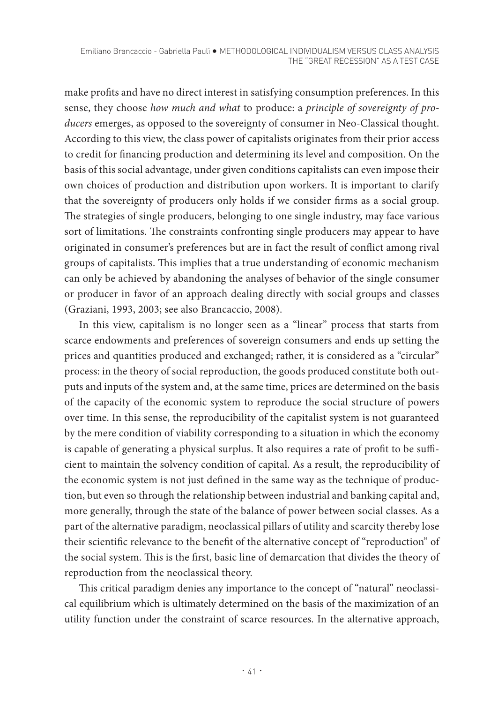make profits and have no direct interest in satisfying consumption preferences. In this sense, they choose *how much and what* to produce: a *principle of sovereignty of producers* emerges, as opposed to the sovereignty of consumer in Neo-Classical thought. According to this view, the class power of capitalists originates from their prior access to credit for financing production and determining its level and composition. On the basis of this social advantage, under given conditions capitalists can even impose their own choices of production and distribution upon workers. It is important to clarify that the sovereignty of producers only holds if we consider firms as a social group. The strategies of single producers, belonging to one single industry, may face various sort of limitations. The constraints confronting single producers may appear to have originated in consumer's preferences but are in fact the result of conflict among rival groups of capitalists. This implies that a true understanding of economic mechanism can only be achieved by abandoning the analyses of behavior of the single consumer or producer in favor of an approach dealing directly with social groups and classes (Graziani, 1993, 2003; see also Brancaccio, 2008).

In this view, capitalism is no longer seen as a "linear" process that starts from scarce endowments and preferences of sovereign consumers and ends up setting the prices and quantities produced and exchanged; rather, it is considered as a "circular" process: in the theory of social reproduction, the goods produced constitute both outputs and inputs of the system and, at the same time, prices are determined on the basis of the capacity of the economic system to reproduce the social structure of powers over time. In this sense, the reproducibility of the capitalist system is not guaranteed by the mere condition of viability corresponding to a situation in which the economy is capable of generating a physical surplus. It also requires a rate of profit to be sufficient to maintain the solvency condition of capital. As a result, the reproducibility of the economic system is not just defined in the same way as the technique of production, but even so through the relationship between industrial and banking capital and, more generally, through the state of the balance of power between social classes. As a part of the alternative paradigm, neoclassical pillars of utility and scarcity thereby lose their scientific relevance to the benefit of the alternative concept of "reproduction" of the social system. This is the first, basic line of demarcation that divides the theory of reproduction from the neoclassical theory.

This critical paradigm denies any importance to the concept of "natural" neoclassical equilibrium which is ultimately determined on the basis of the maximization of an utility function under the constraint of scarce resources. In the alternative approach,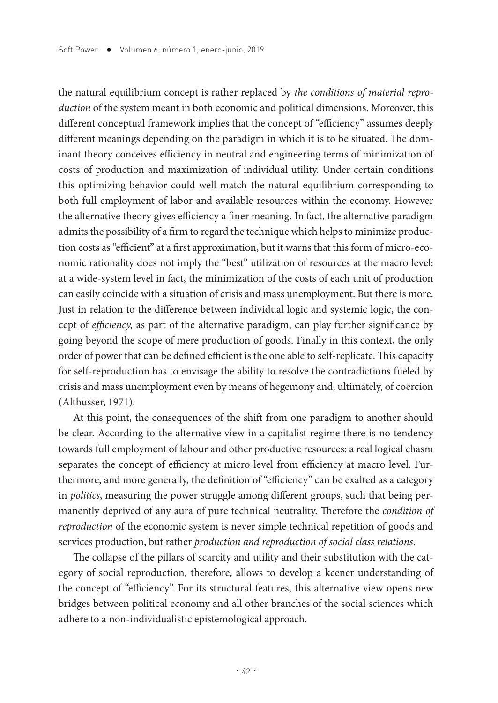the natural equilibrium concept is rather replaced by *the conditions of material reproduction* of the system meant in both economic and political dimensions. Moreover, this different conceptual framework implies that the concept of "efficiency" assumes deeply different meanings depending on the paradigm in which it is to be situated. The dominant theory conceives efficiency in neutral and engineering terms of minimization of costs of production and maximization of individual utility. Under certain conditions this optimizing behavior could well match the natural equilibrium corresponding to both full employment of labor and available resources within the economy. However the alternative theory gives efficiency a finer meaning. In fact, the alternative paradigm admits the possibility of a firm to regard the technique which helps to minimize production costs as "efficient" at a first approximation, but it warns that this form of micro-economic rationality does not imply the "best" utilization of resources at the macro level: at a wide-system level in fact, the minimization of the costs of each unit of production can easily coincide with a situation of crisis and mass unemployment. But there is more. Just in relation to the difference between individual logic and systemic logic, the concept of *efficiency,* as part of the alternative paradigm, can play further significance by going beyond the scope of mere production of goods. Finally in this context, the only order of power that can be defined efficient is the one able to self-replicate. This capacity for self-reproduction has to envisage the ability to resolve the contradictions fueled by crisis and mass unemployment even by means of hegemony and, ultimately, of coercion (Althusser, 1971).

At this point, the consequences of the shift from one paradigm to another should be clear. According to the alternative view in a capitalist regime there is no tendency towards full employment of labour and other productive resources: a real logical chasm separates the concept of efficiency at micro level from efficiency at macro level. Furthermore, and more generally, the definition of "efficiency" can be exalted as a category in *politics*, measuring the power struggle among different groups, such that being permanently deprived of any aura of pure technical neutrality. Therefore the *condition of reproduction* of the economic system is never simple technical repetition of goods and services production, but rather *production and reproduction of social class relations*.

The collapse of the pillars of scarcity and utility and their substitution with the category of social reproduction, therefore, allows to develop a keener understanding of the concept of "efficiency". For its structural features, this alternative view opens new bridges between political economy and all other branches of the social sciences which adhere to a non-individualistic epistemological approach.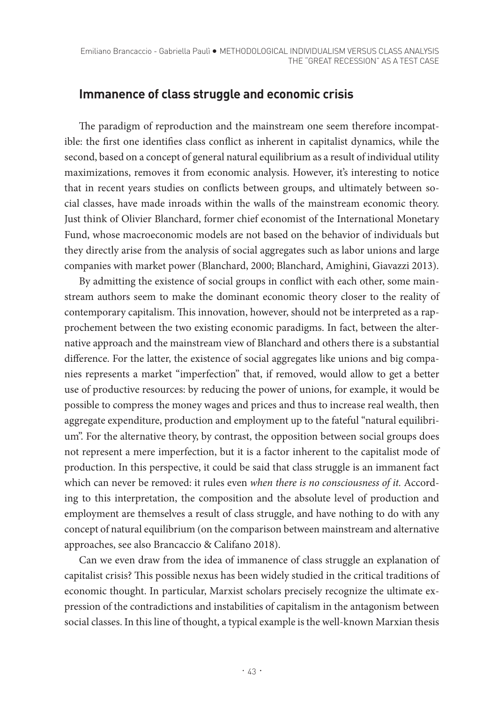## **Immanence of class struggle and economic crisis**

The paradigm of reproduction and the mainstream one seem therefore incompatible: the first one identifies class conflict as inherent in capitalist dynamics, while the second, based on a concept of general natural equilibrium as a result of individual utility maximizations, removes it from economic analysis. However, it's interesting to notice that in recent years studies on conflicts between groups, and ultimately between social classes, have made inroads within the walls of the mainstream economic theory. Just think of Olivier Blanchard, former chief economist of the International Monetary Fund, whose macroeconomic models are not based on the behavior of individuals but they directly arise from the analysis of social aggregates such as labor unions and large companies with market power (Blanchard, 2000; Blanchard, Amighini, Giavazzi 2013).

By admitting the existence of social groups in conflict with each other, some mainstream authors seem to make the dominant economic theory closer to the reality of contemporary capitalism. This innovation, however, should not be interpreted as a rapprochement between the two existing economic paradigms. In fact, between the alternative approach and the mainstream view of Blanchard and others there is a substantial difference. For the latter, the existence of social aggregates like unions and big companies represents a market "imperfection" that, if removed, would allow to get a better use of productive resources: by reducing the power of unions, for example, it would be possible to compress the money wages and prices and thus to increase real wealth, then aggregate expenditure, production and employment up to the fateful "natural equilibrium". For the alternative theory, by contrast, the opposition between social groups does not represent a mere imperfection, but it is a factor inherent to the capitalist mode of production. In this perspective, it could be said that class struggle is an immanent fact which can never be removed: it rules even *when there is no consciousness of it.* According to this interpretation, the composition and the absolute level of production and employment are themselves a result of class struggle, and have nothing to do with any concept of natural equilibrium (on the comparison between mainstream and alternative approaches, see also Brancaccio & Califano 2018).

Can we even draw from the idea of immanence of class struggle an explanation of capitalist crisis? This possible nexus has been widely studied in the critical traditions of economic thought. In particular, Marxist scholars precisely recognize the ultimate expression of the contradictions and instabilities of capitalism in the antagonism between social classes. In this line of thought, a typical example is the well-known Marxian thesis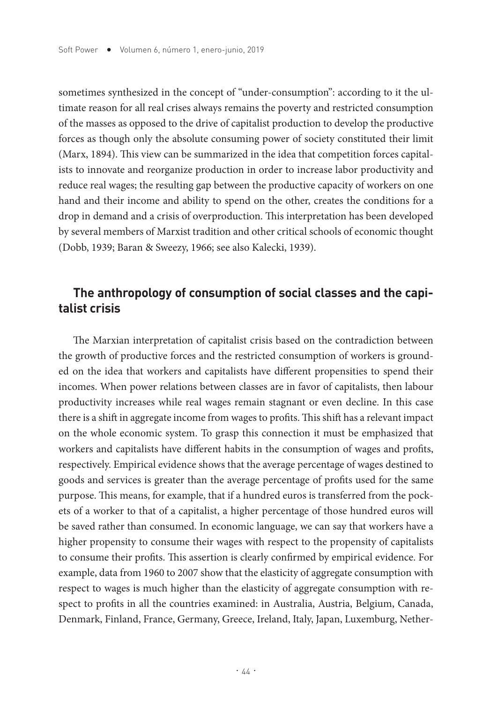sometimes synthesized in the concept of "under-consumption": according to it the ultimate reason for all real crises always remains the poverty and restricted consumption of the masses as opposed to the drive of capitalist production to develop the productive forces as though only the absolute consuming power of society constituted their limit (Marx, 1894). This view can be summarized in the idea that competition forces capitalists to innovate and reorganize production in order to increase labor productivity and reduce real wages; the resulting gap between the productive capacity of workers on one hand and their income and ability to spend on the other, creates the conditions for a drop in demand and a crisis of overproduction. This interpretation has been developed by several members of Marxist tradition and other critical schools of economic thought (Dobb, 1939; Baran & Sweezy, 1966; see also Kalecki, 1939).

## **The anthropology of consumption of social classes and the capitalist crisis**

The Marxian interpretation of capitalist crisis based on the contradiction between the growth of productive forces and the restricted consumption of workers is grounded on the idea that workers and capitalists have different propensities to spend their incomes. When power relations between classes are in favor of capitalists, then labour productivity increases while real wages remain stagnant or even decline. In this case there is a shift in aggregate income from wages to profits. This shift has a relevant impact on the whole economic system. To grasp this connection it must be emphasized that workers and capitalists have different habits in the consumption of wages and profits, respectively. Empirical evidence shows that the average percentage of wages destined to goods and services is greater than the average percentage of profits used for the same purpose. This means, for example, that if a hundred euros is transferred from the pockets of a worker to that of a capitalist, a higher percentage of those hundred euros will be saved rather than consumed. In economic language, we can say that workers have a higher propensity to consume their wages with respect to the propensity of capitalists to consume their profits. This assertion is clearly confirmed by empirical evidence. For example, data from 1960 to 2007 show that the elasticity of aggregate consumption with respect to wages is much higher than the elasticity of aggregate consumption with respect to profits in all the countries examined: in Australia, Austria, Belgium, Canada, Denmark, Finland, France, Germany, Greece, Ireland, Italy, Japan, Luxemburg, Nether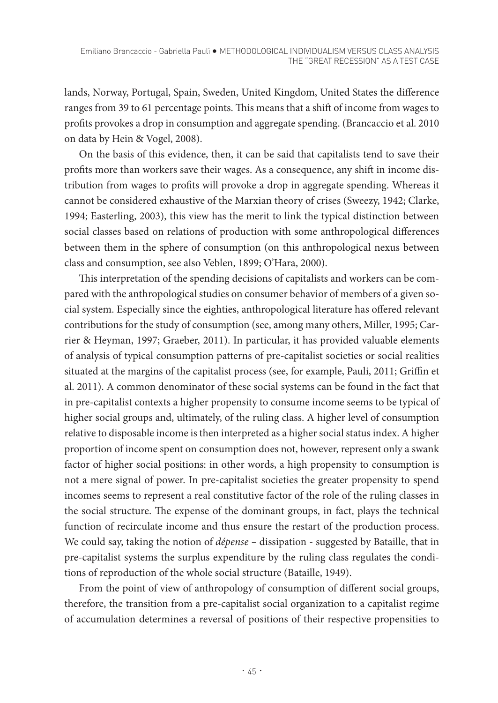lands, Norway, Portugal, Spain, Sweden, United Kingdom, United States the difference ranges from 39 to 61 percentage points. This means that a shift of income from wages to profits provokes a drop in consumption and aggregate spending. (Brancaccio et al. 2010 on data by Hein & Vogel, 2008).

On the basis of this evidence, then, it can be said that capitalists tend to save their profits more than workers save their wages. As a consequence, any shift in income distribution from wages to profits will provoke a drop in aggregate spending. Whereas it cannot be considered exhaustive of the Marxian theory of crises (Sweezy, 1942; Clarke, 1994; Easterling, 2003), this view has the merit to link the typical distinction between social classes based on relations of production with some anthropological differences between them in the sphere of consumption (on this anthropological nexus between class and consumption, see also Veblen, 1899; O'Hara, 2000).

This interpretation of the spending decisions of capitalists and workers can be compared with the anthropological studies on consumer behavior of members of a given social system. Especially since the eighties, anthropological literature has offered relevant contributions for the study of consumption (see, among many others, Miller, 1995; Carrier & Heyman, 1997; Graeber, 2011). In particular, it has provided valuable elements of analysis of typical consumption patterns of pre-capitalist societies or social realities situated at the margins of the capitalist process (see, for example, Pauli, 2011; Griffin et al. 2011). A common denominator of these social systems can be found in the fact that in pre-capitalist contexts a higher propensity to consume income seems to be typical of higher social groups and, ultimately, of the ruling class. A higher level of consumption relative to disposable income is then interpreted as a higher social status index. A higher proportion of income spent on consumption does not, however, represent only a swank factor of higher social positions: in other words, a high propensity to consumption is not a mere signal of power. In pre-capitalist societies the greater propensity to spend incomes seems to represent a real constitutive factor of the role of the ruling classes in the social structure. The expense of the dominant groups, in fact, plays the technical function of recirculate income and thus ensure the restart of the production process. We could say, taking the notion of *dépense –* dissipation - suggested by Bataille, that in pre-capitalist systems the surplus expenditure by the ruling class regulates the conditions of reproduction of the whole social structure (Bataille, 1949).

From the point of view of anthropology of consumption of different social groups, therefore, the transition from a pre-capitalist social organization to a capitalist regime of accumulation determines a reversal of positions of their respective propensities to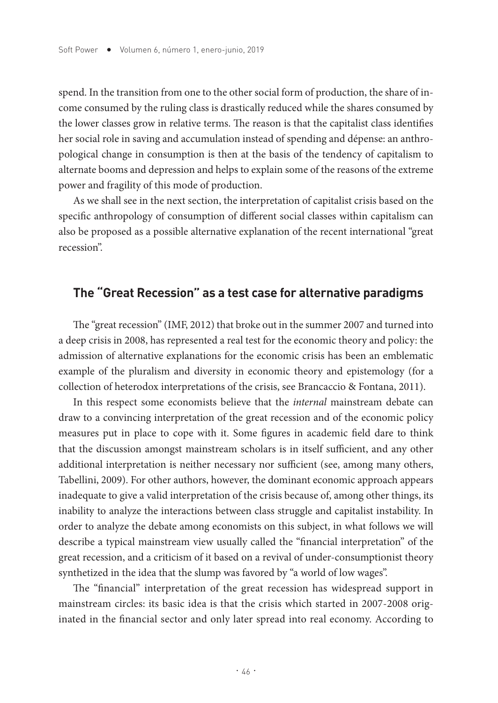spend. In the transition from one to the other social form of production, the share of income consumed by the ruling class is drastically reduced while the shares consumed by the lower classes grow in relative terms. The reason is that the capitalist class identifies her social role in saving and accumulation instead of spending and dépense: an anthropological change in consumption is then at the basis of the tendency of capitalism to alternate booms and depression and helps to explain some of the reasons of the extreme power and fragility of this mode of production.

As we shall see in the next section, the interpretation of capitalist crisis based on the specific anthropology of consumption of different social classes within capitalism can also be proposed as a possible alternative explanation of the recent international "great recession".

## **The "Great Recession" as a test case for alternative paradigms**

The "great recession" (IMF, 2012) that broke out in the summer 2007 and turned into a deep crisis in 2008, has represented a real test for the economic theory and policy: the admission of alternative explanations for the economic crisis has been an emblematic example of the pluralism and diversity in economic theory and epistemology (for a collection of heterodox interpretations of the crisis, see Brancaccio & Fontana, 2011).

In this respect some economists believe that the *internal* mainstream debate can draw to a convincing interpretation of the great recession and of the economic policy measures put in place to cope with it. Some figures in academic field dare to think that the discussion amongst mainstream scholars is in itself sufficient, and any other additional interpretation is neither necessary nor sufficient (see, among many others, Tabellini, 2009). For other authors, however, the dominant economic approach appears inadequate to give a valid interpretation of the crisis because of, among other things, its inability to analyze the interactions between class struggle and capitalist instability. In order to analyze the debate among economists on this subject, in what follows we will describe a typical mainstream view usually called the "financial interpretation" of the great recession, and a criticism of it based on a revival of under-consumptionist theory synthetized in the idea that the slump was favored by "a world of low wages".

The "financial" interpretation of the great recession has widespread support in mainstream circles: its basic idea is that the crisis which started in 2007-2008 originated in the financial sector and only later spread into real economy. According to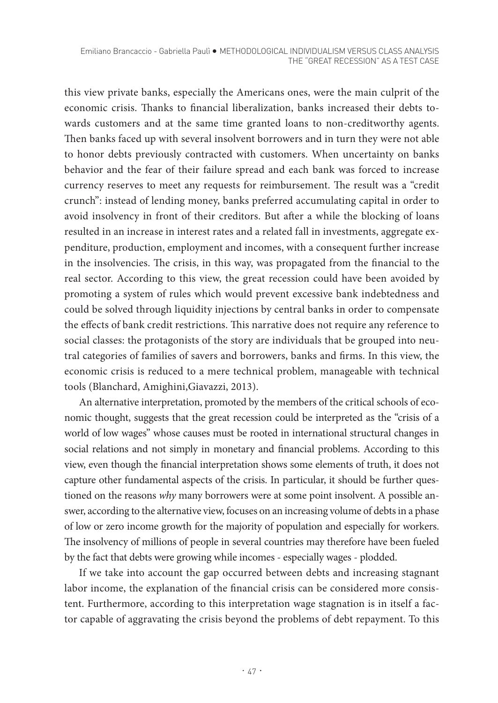this view private banks, especially the Americans ones, were the main culprit of the economic crisis. Thanks to financial liberalization, banks increased their debts towards customers and at the same time granted loans to non-creditworthy agents. Then banks faced up with several insolvent borrowers and in turn they were not able to honor debts previously contracted with customers. When uncertainty on banks behavior and the fear of their failure spread and each bank was forced to increase currency reserves to meet any requests for reimbursement. The result was a "credit crunch": instead of lending money, banks preferred accumulating capital in order to avoid insolvency in front of their creditors. But after a while the blocking of loans resulted in an increase in interest rates and a related fall in investments, aggregate expenditure, production, employment and incomes, with a consequent further increase in the insolvencies. The crisis, in this way, was propagated from the financial to the real sector. According to this view, the great recession could have been avoided by promoting a system of rules which would prevent excessive bank indebtedness and could be solved through liquidity injections by central banks in order to compensate the effects of bank credit restrictions. This narrative does not require any reference to social classes: the protagonists of the story are individuals that be grouped into neutral categories of families of savers and borrowers, banks and firms. In this view, the economic crisis is reduced to a mere technical problem, manageable with technical tools (Blanchard, Amighini,Giavazzi, 2013).

An alternative interpretation, promoted by the members of the critical schools of economic thought, suggests that the great recession could be interpreted as the "crisis of a world of low wages" whose causes must be rooted in international structural changes in social relations and not simply in monetary and financial problems. According to this view, even though the financial interpretation shows some elements of truth, it does not capture other fundamental aspects of the crisis. In particular, it should be further questioned on the reasons *why* many borrowers were at some point insolvent. A possible answer, according to the alternative view, focuses on an increasing volume of debts in a phase of low or zero income growth for the majority of population and especially for workers. The insolvency of millions of people in several countries may therefore have been fueled by the fact that debts were growing while incomes - especially wages - plodded.

If we take into account the gap occurred between debts and increasing stagnant labor income, the explanation of the financial crisis can be considered more consistent. Furthermore, according to this interpretation wage stagnation is in itself a factor capable of aggravating the crisis beyond the problems of debt repayment. To this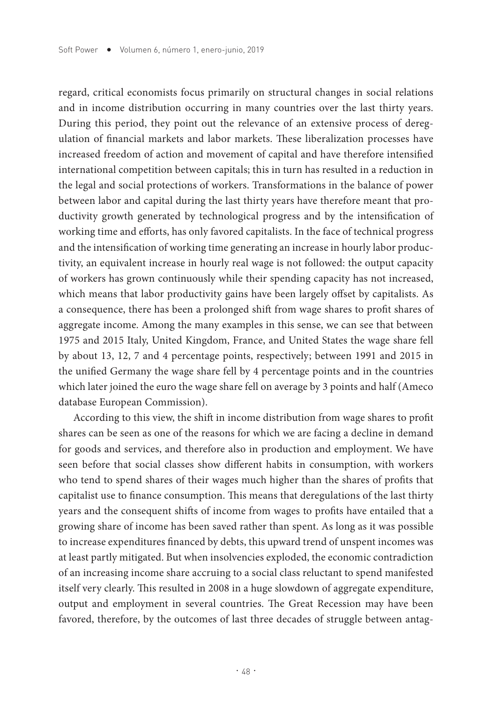regard, critical economists focus primarily on structural changes in social relations and in income distribution occurring in many countries over the last thirty years. During this period, they point out the relevance of an extensive process of deregulation of financial markets and labor markets. These liberalization processes have increased freedom of action and movement of capital and have therefore intensified international competition between capitals; this in turn has resulted in a reduction in the legal and social protections of workers. Transformations in the balance of power between labor and capital during the last thirty years have therefore meant that productivity growth generated by technological progress and by the intensification of working time and efforts, has only favored capitalists. In the face of technical progress and the intensification of working time generating an increase in hourly labor productivity, an equivalent increase in hourly real wage is not followed: the output capacity of workers has grown continuously while their spending capacity has not increased, which means that labor productivity gains have been largely offset by capitalists. As a consequence, there has been a prolonged shift from wage shares to profit shares of aggregate income. Among the many examples in this sense, we can see that between 1975 and 2015 Italy, United Kingdom, France, and United States the wage share fell by about 13, 12, 7 and 4 percentage points, respectively; between 1991 and 2015 in the unified Germany the wage share fell by 4 percentage points and in the countries which later joined the euro the wage share fell on average by 3 points and half (Ameco database European Commission).

According to this view, the shift in income distribution from wage shares to profit shares can be seen as one of the reasons for which we are facing a decline in demand for goods and services, and therefore also in production and employment. We have seen before that social classes show different habits in consumption, with workers who tend to spend shares of their wages much higher than the shares of profits that capitalist use to finance consumption. This means that deregulations of the last thirty years and the consequent shifts of income from wages to profits have entailed that a growing share of income has been saved rather than spent. As long as it was possible to increase expenditures financed by debts, this upward trend of unspent incomes was at least partly mitigated. But when insolvencies exploded, the economic contradiction of an increasing income share accruing to a social class reluctant to spend manifested itself very clearly. This resulted in 2008 in a huge slowdown of aggregate expenditure, output and employment in several countries. The Great Recession may have been favored, therefore, by the outcomes of last three decades of struggle between antag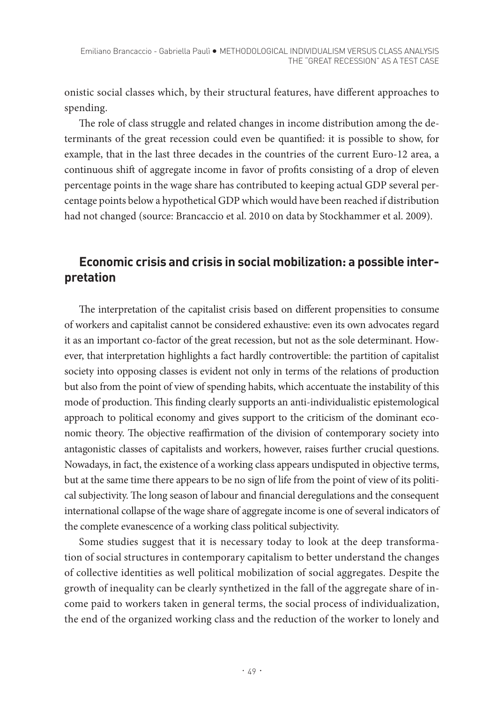onistic social classes which, by their structural features, have different approaches to spending.

The role of class struggle and related changes in income distribution among the determinants of the great recession could even be quantified: it is possible to show, for example, that in the last three decades in the countries of the current Euro-12 area, a continuous shift of aggregate income in favor of profits consisting of a drop of eleven percentage points in the wage share has contributed to keeping actual GDP several percentage points below a hypothetical GDP which would have been reached if distribution had not changed (source: Brancaccio et al. 2010 on data by Stockhammer et al. 2009).

# **Economic crisis and crisis in social mobilization: a possible interpretation**

The interpretation of the capitalist crisis based on different propensities to consume of workers and capitalist cannot be considered exhaustive: even its own advocates regard it as an important co-factor of the great recession, but not as the sole determinant. However, that interpretation highlights a fact hardly controvertible: the partition of capitalist society into opposing classes is evident not only in terms of the relations of production but also from the point of view of spending habits, which accentuate the instability of this mode of production. This finding clearly supports an anti-individualistic epistemological approach to political economy and gives support to the criticism of the dominant economic theory. The objective reaffirmation of the division of contemporary society into antagonistic classes of capitalists and workers, however, raises further crucial questions. Nowadays, in fact, the existence of a working class appears undisputed in objective terms, but at the same time there appears to be no sign of life from the point of view of its political subjectivity. The long season of labour and financial deregulations and the consequent international collapse of the wage share of aggregate income is one of several indicators of the complete evanescence of a working class political subjectivity.

Some studies suggest that it is necessary today to look at the deep transformation of social structures in contemporary capitalism to better understand the changes of collective identities as well political mobilization of social aggregates. Despite the growth of inequality can be clearly synthetized in the fall of the aggregate share of income paid to workers taken in general terms, the social process of individualization, the end of the organized working class and the reduction of the worker to lonely and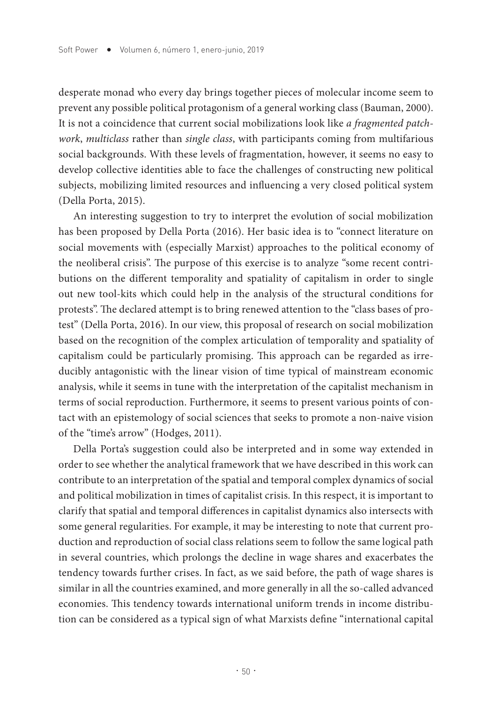desperate monad who every day brings together pieces of molecular income seem to prevent any possible political protagonism of a general working class (Bauman, 2000). It is not a coincidence that current social mobilizations look like *a fragmented patchwork*, *multiclass* rather than *single class*, with participants coming from multifarious social backgrounds. With these levels of fragmentation, however, it seems no easy to develop collective identities able to face the challenges of constructing new political subjects, mobilizing limited resources and influencing a very closed political system (Della Porta, 2015).

An interesting suggestion to try to interpret the evolution of social mobilization has been proposed by Della Porta (2016). Her basic idea is to "connect literature on social movements with (especially Marxist) approaches to the political economy of the neoliberal crisis". The purpose of this exercise is to analyze "some recent contributions on the different temporality and spatiality of capitalism in order to single out new tool-kits which could help in the analysis of the structural conditions for protests". The declared attempt is to bring renewed attention to the "class bases of protest" (Della Porta, 2016). In our view, this proposal of research on social mobilization based on the recognition of the complex articulation of temporality and spatiality of capitalism could be particularly promising. This approach can be regarded as irreducibly antagonistic with the linear vision of time typical of mainstream economic analysis, while it seems in tune with the interpretation of the capitalist mechanism in terms of social reproduction. Furthermore, it seems to present various points of contact with an epistemology of social sciences that seeks to promote a non-naive vision of the "time's arrow" (Hodges, 2011).

Della Porta's suggestion could also be interpreted and in some way extended in order to see whether the analytical framework that we have described in this work can contribute to an interpretation of the spatial and temporal complex dynamics of social and political mobilization in times of capitalist crisis. In this respect, it is important to clarify that spatial and temporal differences in capitalist dynamics also intersects with some general regularities. For example, it may be interesting to note that current production and reproduction of social class relations seem to follow the same logical path in several countries, which prolongs the decline in wage shares and exacerbates the tendency towards further crises. In fact, as we said before, the path of wage shares is similar in all the countries examined, and more generally in all the so-called advanced economies. This tendency towards international uniform trends in income distribution can be considered as a typical sign of what Marxists define "international capital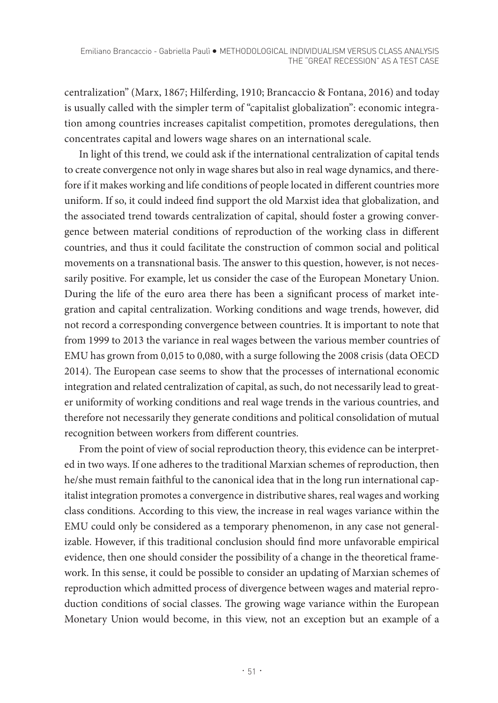centralization" (Marx, 1867; Hilferding, 1910; Brancaccio & Fontana, 2016) and today is usually called with the simpler term of "capitalist globalization": economic integration among countries increases capitalist competition, promotes deregulations, then concentrates capital and lowers wage shares on an international scale.

In light of this trend, we could ask if the international centralization of capital tends to create convergence not only in wage shares but also in real wage dynamics, and therefore if it makes working and life conditions of people located in different countries more uniform. If so, it could indeed find support the old Marxist idea that globalization, and the associated trend towards centralization of capital, should foster a growing convergence between material conditions of reproduction of the working class in different countries, and thus it could facilitate the construction of common social and political movements on a transnational basis. The answer to this question, however, is not necessarily positive. For example, let us consider the case of the European Monetary Union. During the life of the euro area there has been a significant process of market integration and capital centralization. Working conditions and wage trends, however, did not record a corresponding convergence between countries. It is important to note that from 1999 to 2013 the variance in real wages between the various member countries of EMU has grown from 0,015 to 0,080, with a surge following the 2008 crisis (data OECD 2014). The European case seems to show that the processes of international economic integration and related centralization of capital, as such, do not necessarily lead to greater uniformity of working conditions and real wage trends in the various countries, and therefore not necessarily they generate conditions and political consolidation of mutual recognition between workers from different countries.

From the point of view of social reproduction theory, this evidence can be interpreted in two ways. If one adheres to the traditional Marxian schemes of reproduction, then he/she must remain faithful to the canonical idea that in the long run international capitalist integration promotes a convergence in distributive shares, real wages and working class conditions. According to this view, the increase in real wages variance within the EMU could only be considered as a temporary phenomenon, in any case not generalizable. However, if this traditional conclusion should find more unfavorable empirical evidence, then one should consider the possibility of a change in the theoretical framework. In this sense, it could be possible to consider an updating of Marxian schemes of reproduction which admitted process of divergence between wages and material reproduction conditions of social classes. The growing wage variance within the European Monetary Union would become, in this view, not an exception but an example of a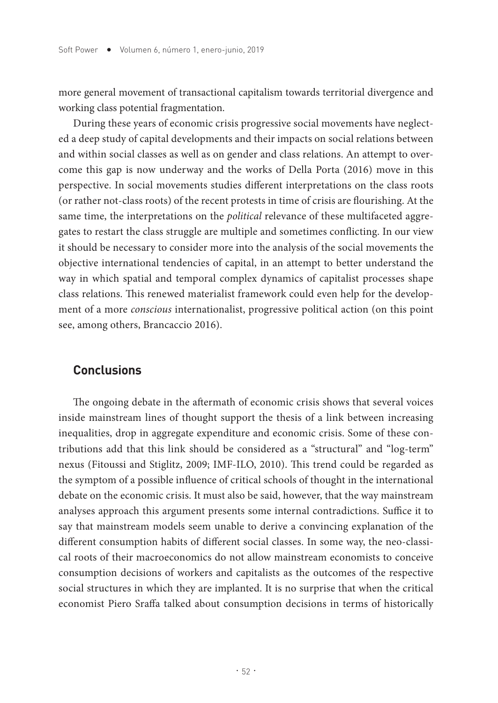more general movement of transactional capitalism towards territorial divergence and working class potential fragmentation.

During these years of economic crisis progressive social movements have neglected a deep study of capital developments and their impacts on social relations between and within social classes as well as on gender and class relations. An attempt to overcome this gap is now underway and the works of Della Porta (2016) move in this perspective. In social movements studies different interpretations on the class roots (or rather not-class roots) of the recent protests in time of crisis are flourishing. At the same time, the interpretations on the *political* relevance of these multifaceted aggregates to restart the class struggle are multiple and sometimes conflicting. In our view it should be necessary to consider more into the analysis of the social movements the objective international tendencies of capital, in an attempt to better understand the way in which spatial and temporal complex dynamics of capitalist processes shape class relations. This renewed materialist framework could even help for the development of a more *conscious* internationalist, progressive political action (on this point see, among others, Brancaccio 2016).

#### **Conclusions**

The ongoing debate in the aftermath of economic crisis shows that several voices inside mainstream lines of thought support the thesis of a link between increasing inequalities, drop in aggregate expenditure and economic crisis. Some of these contributions add that this link should be considered as a "structural" and "log-term" nexus (Fitoussi and Stiglitz, 2009; IMF-ILO, 2010). This trend could be regarded as the symptom of a possible influence of critical schools of thought in the international debate on the economic crisis. It must also be said, however, that the way mainstream analyses approach this argument presents some internal contradictions. Suffice it to say that mainstream models seem unable to derive a convincing explanation of the different consumption habits of different social classes. In some way, the neo-classical roots of their macroeconomics do not allow mainstream economists to conceive consumption decisions of workers and capitalists as the outcomes of the respective social structures in which they are implanted. It is no surprise that when the critical economist Piero Sraffa talked about consumption decisions in terms of historically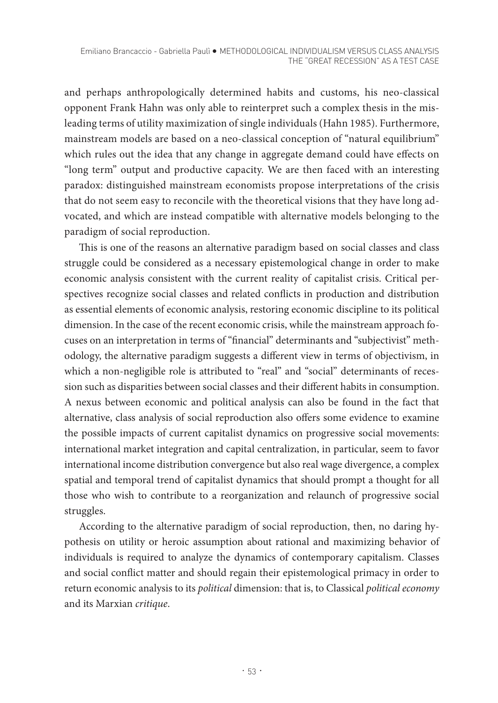and perhaps anthropologically determined habits and customs, his neo-classical opponent Frank Hahn was only able to reinterpret such a complex thesis in the misleading terms of utility maximization of single individuals (Hahn 1985). Furthermore, mainstream models are based on a neo-classical conception of "natural equilibrium" which rules out the idea that any change in aggregate demand could have effects on "long term" output and productive capacity. We are then faced with an interesting paradox: distinguished mainstream economists propose interpretations of the crisis that do not seem easy to reconcile with the theoretical visions that they have long advocated, and which are instead compatible with alternative models belonging to the paradigm of social reproduction.

This is one of the reasons an alternative paradigm based on social classes and class struggle could be considered as a necessary epistemological change in order to make economic analysis consistent with the current reality of capitalist crisis. Critical perspectives recognize social classes and related conflicts in production and distribution as essential elements of economic analysis, restoring economic discipline to its political dimension. In the case of the recent economic crisis, while the mainstream approach focuses on an interpretation in terms of "financial" determinants and "subjectivist" methodology, the alternative paradigm suggests a different view in terms of objectivism, in which a non-negligible role is attributed to "real" and "social" determinants of recession such as disparities between social classes and their different habits in consumption. A nexus between economic and political analysis can also be found in the fact that alternative, class analysis of social reproduction also offers some evidence to examine the possible impacts of current capitalist dynamics on progressive social movements: international market integration and capital centralization, in particular, seem to favor international income distribution convergence but also real wage divergence, a complex spatial and temporal trend of capitalist dynamics that should prompt a thought for all those who wish to contribute to a reorganization and relaunch of progressive social struggles.

According to the alternative paradigm of social reproduction, then, no daring hypothesis on utility or heroic assumption about rational and maximizing behavior of individuals is required to analyze the dynamics of contemporary capitalism. Classes and social conflict matter and should regain their epistemological primacy in order to return economic analysis to its *political* dimension: that is, to Classical *political economy* and its Marxian *critique*.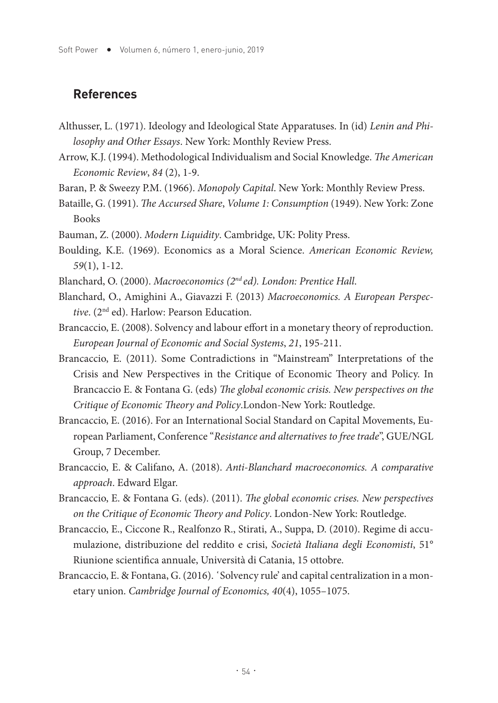#### **References**

- Althusser, L. (1971). Ideology and Ideological State Apparatuses. In (id) *Lenin and Philosophy and Other Essays*. New York: Monthly Review Press.
- Arrow, K.J. (1994). Methodological Individualism and Social Knowledge. *The American Economic Review*, *84* (2), 1-9.
- Baran, P. & Sweezy P.M. (1966). *Monopoly Capital*. New York: Monthly Review Press.
- Bataille, G. (1991). *The Accursed Share*, *Volume 1: Consumption* (1949). New York: Zone Books
- Bauman, Z. (2000). *Modern Liquidity*. Cambridge, UK: Polity Press.
- Boulding, K.E. (1969). Economics as a Moral Science. *American Economic Review, 59*(1), 1-12.
- Blanchard, O. (2000). *Macroeconomics (2nd ed). London: Prentice Hall*.
- Blanchard, O., Amighini A., Giavazzi F. (2013) *Macroeconomics. A European Perspective*. (2nd ed). Harlow: Pearson Education.
- Brancaccio, E. (2008). Solvency and labour effort in a monetary theory of reproduction. *European Journal of Economic and Social Systems*, *21*, 195-211.
- Brancaccio, E. (2011). Some Contradictions in "Mainstream" Interpretations of the Crisis and New Perspectives in the Critique of Economic Theory and Policy. In Brancaccio E. & Fontana G. (eds) *The global economic crisis. New perspectives on the Critique of Economic Theory and Policy*.London-New York: Routledge.
- Brancaccio, E. (2016). For an International Social Standard on Capital Movements, European Parliament, Conference "*Resistance and alternatives to free trade*", GUE/NGL Group, 7 December.
- Brancaccio, E. & Califano, A. (2018). *Anti-Blanchard macroeconomics. A comparative approach*. Edward Elgar.
- Brancaccio, E. & Fontana G. (eds). (2011). *The global economic crises. New perspectives on the Critique of Economic Theory and Policy*. London-New York: Routledge.
- Brancaccio, E., Ciccone R., Realfonzo R., Stirati, A., Suppa, D. (2010). Regime di accumulazione, distribuzione del reddito e crisi, *Società Italiana degli Economisti*, 51° Riunione scientifica annuale, Università di Catania, 15 ottobre.
- Brancaccio, E. & Fontana, G. (2016). 'Solvency rule' and capital centralization in a monetary union. *Cambridge Journal of Economics, 40*(4), 1055–1075.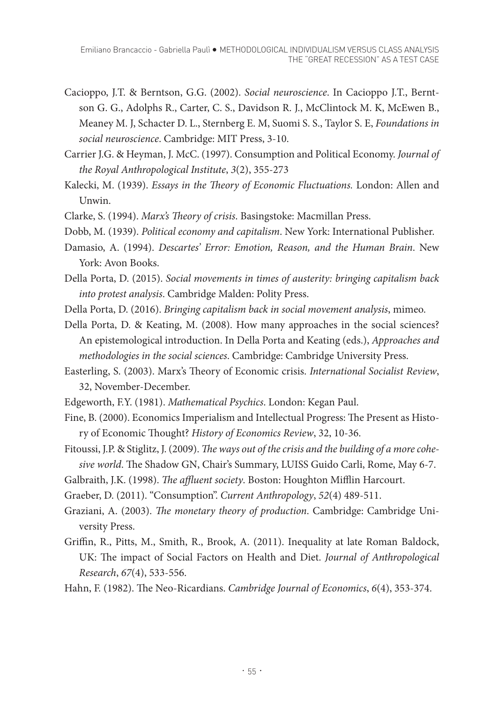- Cacioppo, J.T. & Berntson, G.G. (2002). *Social neuroscience*. In Cacioppo J.T., Berntson G. G., Adolphs R., Carter, C. S., Davidson R. J., McClintock M. K, McEwen B., Meaney M. J, Schacter D. L., Sternberg E. M, Suomi S. S., Taylor S. E, *Foundations in social neuroscience*. Cambridge: MIT Press, 3-10.
- Carrier J.G. & Heyman, J. McC. (1997). Consumption and Political Economy. *Journal of the Royal Anthropological Institute*, *3*(2), 355-273
- Kalecki, M. (1939). *Essays in the Theory of Economic Fluctuations.* London: Allen and Unwin.
- Clarke, S. (1994). *Marx's Theory of crisis*. Basingstoke: Macmillan Press.
- Dobb, M. (1939). *Political economy and capitalism*. New York: International Publisher.
- Damasio, A. (1994). *Descartes' Error: Emotion, Reason, and the Human Brain*. New York: Avon Books.
- Della Porta, D. (2015). *Social movements in times of austerity: bringing capitalism back into protest analysis*. Cambridge Malden: Polity Press.
- Della Porta, D. (2016). *Bringing capitalism back in social movement analysis*, mimeo.
- Della Porta, D. & Keating, M. (2008). How many approaches in the social sciences? An epistemological introduction. In Della Porta and Keating (eds.), *Approaches and methodologies in the social sciences*. Cambridge: Cambridge University Press.
- Easterling, S. (2003). Marx's Theory of Economic crisis. *International Socialist Review*, 32, November-December.
- Edgeworth, F.Y. (1981). *Mathematical Psychics*. London: Kegan Paul.
- Fine, B. (2000). Economics Imperialism and Intellectual Progress: The Present as History of Economic Thought? *History of Economics Review*, 32, 10-36.
- Fitoussi, J.P. & Stiglitz, J. (2009). *The ways out of the crisis and the building of a more cohesive world*. The Shadow GN, Chair's Summary, LUISS Guido Carli, Rome, May 6-7.
- Galbraith, J.K. (1998). *The affluent society*. Boston: Houghton Mifflin Harcourt.
- Graeber, D. (2011). "Consumption". *Current Anthropology*, *52*(4) 489-511.
- Graziani, A. (2003). *The monetary theory of production*. Cambridge: Cambridge University Press.
- Griffin, R., Pitts, M., Smith, R., Brook, A. (2011). Inequality at late Roman Baldock, UK: The impact of Social Factors on Health and Diet. *Journal of Anthropological Research*, *67*(4), 533-556.
- Hahn, F. (1982). The Neo-Ricardians. *Cambridge Journal of Economics*, *6*(4), 353-374.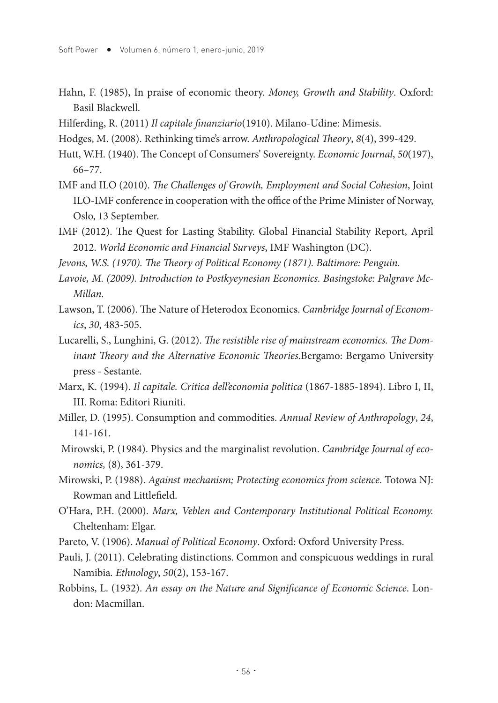- Hahn, F. (1985), In praise of economic theory. *Money, Growth and Stability*. Oxford: Basil Blackwell.
- Hilferding, R. (2011) *Il capitale finanziario*(1910). Milano-Udine: Mimesis.
- Hodges, M. (2008). Rethinking time's arrow. *Anthropological Theory*, *8*(4), 399-429.
- Hutt, W.H. (1940). The Concept of Consumers' Sovereignty. *Economic Journal*, *50*(197), 66–77.
- IMF and ILO (2010). *The Challenges of Growth, Employment and Social Cohesion*, Joint ILO-IMF conference in cooperation with the office of the Prime Minister of Norway, Oslo, 13 September.
- IMF (2012). The Quest for Lasting Stability. Global Financial Stability Report, April 2012. *World Economic and Financial Surveys*, IMF Washington (DC).
- *Jevons, W.S. (1970). The Theory of Political Economy (1871). Baltimore: Penguin.*
- *Lavoie, M. (2009). Introduction to Postkyeynesian Economics. Basingstoke: Palgrave Mc-Millan.*
- Lawson, T. (2006). The Nature of Heterodox Economics. *Cambridge Journal of Economics*, *30*, 483-505.
- Lucarelli, S., Lunghini, G. (2012). *The resistible rise of mainstream economics. The Dominant Theory and the Alternative Economic Theories*.Bergamo: Bergamo University press - Sestante.
- Marx, K. (1994). *Il capitale. Critica dell'economia politica* (1867-1885-1894). Libro I, II, III. Roma: Editori Riuniti.
- Miller, D. (1995). Consumption and commodities. *Annual Review of Anthropology*, *24*, 141-161.
- Mirowski, P. (1984). Physics and the marginalist revolution. *Cambridge Journal of economics,* (8), 361-379.
- Mirowski, P. (1988). *Against mechanism; Protecting economics from science*. Totowa NJ: Rowman and Littlefield.
- O'Hara, P.H. (2000). *Marx, Veblen and Contemporary Institutional Political Economy.* Cheltenham: Elgar.
- Pareto, V. (1906). *Manual of Political Economy*. Oxford: Oxford University Press.
- Pauli, J. (2011). Celebrating distinctions. Common and conspicuous weddings in rural Namibia*. Ethnology*, *50*(2), 153-167.
- Robbins, L. (1932). *An essay on the Nature and Significance of Economic Science*. London: Macmillan.